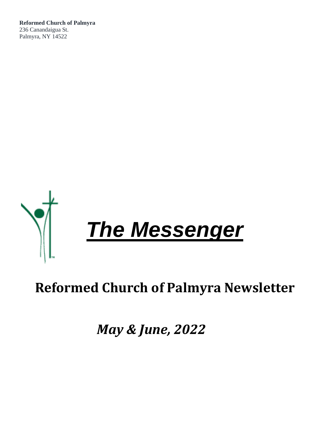**Reformed Church of Palmyra** 236 Canandaigua St. Palmyra, NY 14522



# **Reformed Church of Palmyra Newsletter**

*May & June, 2022*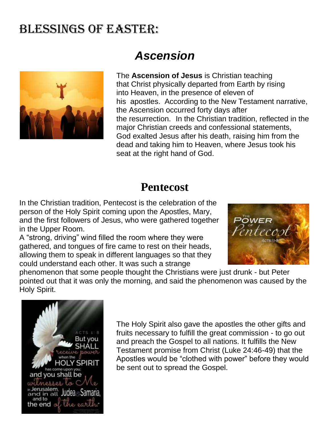# Blessings OF EASTER:



# *Ascension*

The **Ascension of Jesus** is [Christian](https://en.wikipedia.org/wiki/Christianity) teaching that [Christ](https://en.wikipedia.org/wiki/Christ_(title)) physically departed from Earth by rising into [Heaven,](https://en.wikipedia.org/wiki/Heaven_in_Christianity) in the presence of eleven of his [apostles.](https://en.wikipedia.org/wiki/Apostle) According to the [New Testament](https://en.wikipedia.org/wiki/New_Testament) narrative, the Ascension occurred forty days after the [resurrection.](https://en.wikipedia.org/wiki/Resurrection_of_Jesus) In the Christian tradition, reflected in the major [Christian creeds](https://en.wikipedia.org/wiki/Christian_creeds) and confessional statements, God [exalted](https://en.wikipedia.org/wiki/Exaltation_of_Jesus) Jesus after his death, raising him from the dead and taking him to Heaven, where Jesus took [his](https://en.wikipedia.org/wiki/Session_of_Christ)  [seat](https://en.wikipedia.org/wiki/Session_of_Christ) at the [right hand of God.](https://en.wikipedia.org/wiki/Right_hand_of_God)

## **Pentecost**

In the Christian tradition, Pentecost is the celebration of the person of the Holy Spirit coming upon the Apostles, Mary, and the first followers of Jesus, who were gathered together in the Upper Room.

A "strong, driving" wind filled the room where they were gathered, and tongues of fire came to rest on their heads, allowing them to speak in different languages so that they could understand each other. It was such a strange



phenomenon that some people thought the Christians were just drunk - but Peter pointed out that it was only the morning, and said the phenomenon was caused by the Holy Spirit.



The Holy Spirit also gave the apostles the other gifts and fruits necessary to fulfill the great commission - to go out and preach the Gospel to all nations. It fulfills the New Testament promise from Christ (Luke 24:46-49) that the Apostles would be "clothed with power" before they would be sent out to spread the Gospel.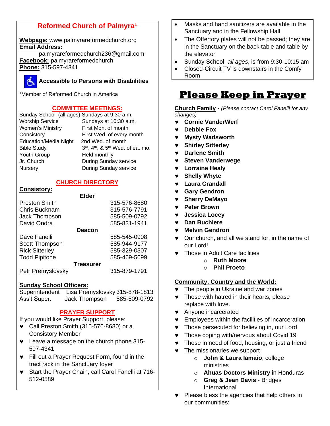## **Reformed Church of Palmyra**<sup>1</sup>

**Webpage:** www.palmyrareformedchurch.org **Email Address:**

[palmyrareformedchurch236@gmail.com](mailto:palmyrareformedchurch236@gmail.com) **Facebook:** palmyrareformedchurch **Phone:** 315-597-4341



## **Accessible to Persons with Disabilities**

<sup>1</sup>Member of Reformed Church in America

## **COMMITTEE MEETINGS:**

| Sunday School (all ages) Sundays at 9:30 a.m. |                                 |
|-----------------------------------------------|---------------------------------|
| <b>Worship Service</b>                        | Sundays at 10:30 a.m.           |
| <b>Women's Ministry</b>                       | First Mon. of month             |
| Consistory                                    | First Wed. of every month       |
| <b>Education/Media Night</b>                  | 2nd Wed. of month               |
| <b>Bible Study</b>                            | 3rd, 4th, & 5th Wed. of ea. mo. |
| Youth Group                                   | Held monthly                    |
| Jr. Church                                    | During Sunday service           |
| Nursery                                       | During Sunday service           |
|                                               |                                 |

### **CHURCH DIRECTORY**

### **Consistory:**

|                       | <b>Elder</b>     |              |
|-----------------------|------------------|--------------|
| <b>Preston Smith</b>  |                  | 315-576-8680 |
| Chris Bucknam         |                  | 315-576-7791 |
| Jack Thompson         |                  | 585-509-0792 |
| David Ondra           |                  | 585-831-1941 |
|                       | <b>Deacon</b>    |              |
| Dave Fanelli          |                  | 585-545-0908 |
| Scott Thompson        |                  | 585-944-9177 |
| <b>Rick Sitterley</b> |                  | 585-329-0307 |
| <b>Todd Pipitone</b>  |                  | 585-469-5699 |
|                       | <b>Treasurer</b> |              |
| Petr Premyslovsky     |                  | 315-879-1791 |
|                       |                  |              |

### **Sunday School Officers:**

| Superintendent | Lisa Premyslovsky 315-878-1813 |              |
|----------------|--------------------------------|--------------|
| Ass't Super.   | Jack Thompson                  | 585-509-0792 |

### **PRAYER SUPPORT**

If you would like Prayer Support, please:

- Call Preston Smith (315-576-8680) or a Consistory Member
- **v** Leave a message on the church phone 315-597-4341
- Fill out a Prayer Request Form, found in the tract rack in the Sanctuary foyer
- Start the Prayer Chain, call Carol Fanelli at 716- 512-0589
- Masks and hand sanitizers are available in the Sanctuary and in the Fellowship Hall
- The Offertory plates will not be passed; they are in the Sanctuary on the back table and table by the elevator
- Sunday School, *all ages*, is from 9:30-10:15 am
- Closed-Circuit TV is downstairs in the Comfy Room

## **Please Keep in Prayer**

**Church Family -** *(Please contact Carol Fanelli for any changes)*

- **Cornie VanderWerf**
- **Debbie Fox**
- **Mysty Wadsworth**
- **Shirley Sitterley**
- **Darlene Smith**
- **Steven Vanderwege**
- **Lorraine Healy**
- **Shelly Whyte**
- **Laura Crandall**
- **Gary Gendron**
- **Sherry DeMayo**
- **Peter Brown**
- **Jessica Locey**
- **Dan Buchiere**
- **Melvin Gendron**
- Our church, and all we stand for, in the name of our Lord!
- **v** Those in Adult Care facilities
	- o **Ruth Moore**
	- o **Phil Proeto**

## **Community, Country and the World:**

- The people in Ukraine and war zones
- **v** Those with hatred in their hearts, please replace with love.
- **\*** Anyone incarcerated
- **•** Employees within the facilities of incarceration
- Those persecuted for believing in, our Lord
- **v** Those coping with/nervous about Covid 19
- **v** Those in need of food, housing, or just a friend
- $\bullet$  The missionaries we support
	- o **John & Laura Iamaio**, college ministries
	- o **Ahuas Doctors Ministry** in Honduras
	- o **Greg & Jean Davis** Bridges International
- Please bless the agencies that help others in our communities: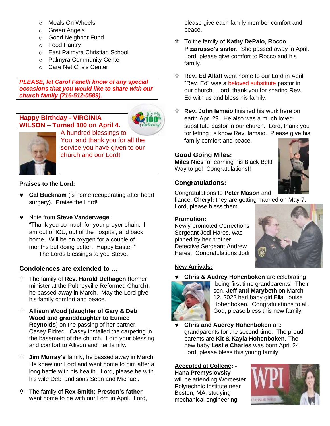- o Meals On Wheels
- o Green Angels
- o Good Neighbor Fund
- o Food Pantry
- o East Palmyra Christian School
- o Palmyra Community Center
- o Care Net Crisis Center

*PLEASE, let Carol Fanelli know of any special occasions that you would like to share with our church family (716-512-0589).*

## **Happy Birthday - VIRGINIA WILSON – Turned 100 on April 4.**





A hundred blessings to You, and thank you for all the service you have given to our church and our Lord!

## **Praises to the Lord:**

- **Cal Bucknam** (is home recuperating after heart surgery). Praise the Lord!
- Note from **Steve Vanderwege**: "Thank you so much for your prayer chain. I am out of ICU, out of the hospital, and back home. Will be on oxygen for a couple of months but doing better. Happy Easter!" The Lords blessings to you Steve.

## **Condolences are extended to …**

- The family of **Rev. Harold Delhagen** (former minister at the Pultneyville Reformed Church), he passed away in March. May the Lord give his family comfort and peace.
- **Allison Wood (daughter of Gary & Deb Wood and granddaughter to Eunice Reynolds**) on the passing of her partner, Casey Eldred. Casey installed the carpeting in the basement of the church. Lord your blessing and comfort to Allison and her family.
- **Jim Murray's** family; he passed away in March. He knew our Lord and went home to him after a long battle with his health. Lord, please be with his wife Debi and sons Sean and Michael.
- The family of **Rex Smith; Preston's father** went home to be with our Lord in April. Lord,

please give each family member comfort and peace.

- To the family of **Kathy DePalo, Rocco Pizzirusso's sister**. She passed away in April. Lord, please give comfort to Rocco and his family.
- **Rev. Ed Allatt** went home to our Lord in April. "Rev. Ed" was a beloved substitute pastor in our church. Lord, thank you for sharing Rev. Ed with us and bless his family.
- **Rev. John Iamaio** finished his work here on earth Apr. 29. He also was a much loved substitute pastor in our church. Lord, thank you for letting us know Rev. Iamaio. Please give his family comfort and peace.

## **Good Going Miles:**

**Miles Nies** for earning his Black Belt! Way to go! Congratulations!!

## **Congratulations:**

Congratulations to **Peter Mason** and

fiancé, **Cheryl;** they are getting married on May 7. Lord, please bless them.

## **Promotion:**

Newly promoted Corrections Sergeant Jodi Hares, was pinned by her brother Detective Sergeant Andrew Hares. Congratulations Jodi



## **New Arrivals:**



 **Chris & Audrey Hohenboken** are celebrating being first time grandparents! Their son, **Jeff and Marybeth** on March 12, 2022 had baby girl Ella Louise Hohenboken. Congratulations to all. God, please bless this new family.

 **Chris and Audrey Hohenboken** are grandparents for the second time. The proud parents are **Kit & Kayla Hohenboken**. The new baby **Leslie Charles** was born April 24. Lord, please bless this young family.

**Accepted at College: - Hana Premyslovsky** will be attending Worcester Polytechnic Institute near Boston, MA, studying mechanical engineering.

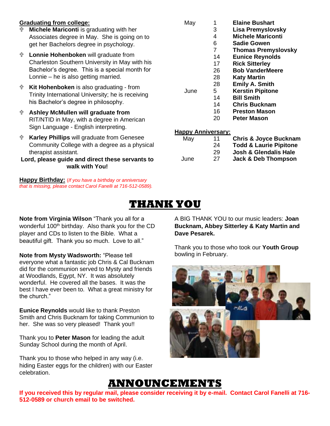### **Graduating from college:**

- **Michele Mariconti** is graduating with her Associates degree in May. She is going on to get her Bachelors degree in psychology.
- **Lonnie Hohenboken** will graduate from Charleston Southern University in May with his Bachelor's degree. This is a special month for Lonnie – he is also getting married.
- **Kit Hohenboken** is also graduating from Trinity International University; he is receiving his Bachelor's degree in philosophy.
- **Ashley McMullen will graduate from**  RIT/NTID in May, with a degree in American Sign Language - English interpreting.
- **Karley Phillips** will graduate from Genesee Community College with a degree as a physical therapist assistant.

### **Lord, please guide and direct these servants to walk with You!**

**Happy Birthday:** (*If you have a birthday or anniversary that is missing, please contact Carol Fanelli at 716-512-0589).*

May 1 **Elaine Bushart Lisa Premyslovsky Michele Mariconti Sadie Gowen Thomas Premyslovsky Eunice Reynolds Rick Sitterley Bob VanderMeere Katy Martin Emily A. Smith** June 5 **Kerstin Pipitone Bill Smith**

- 14 **Chris Bucknam**
	- 16 **Preston Mason**
	- 20 **Peter Mason**

### **Happy Anniversary:**

| May  | 11 | <b>Chris &amp; Joyce Bucknam</b>  |
|------|----|-----------------------------------|
|      | 24 | <b>Todd &amp; Laurie Pipitone</b> |
|      | 29 | <b>Josh &amp; Glendalis Hale</b>  |
| June | 27 | <b>Jack &amp; Deb Thompson</b>    |
|      |    |                                   |

## **THANK YOU**

**Note from Virginia Wilson** "Thank you all for a wonderful 100<sup>th</sup> birthday. Also thank you for the CD player and CDs to listen to the Bible. What a beautiful gift. Thank you so much. Love to all."

**Note from Mysty Wadsworth:** "Please tell everyone what a fantastic job Chris & Cal Bucknam did for the communion served to Mysty and friends at Woodlands, Egypt, NY. It was absolutely wonderful. He covered all the bases. It was the best I have ever been to. What a great ministry for the church."

**Eunice Reynolds** would like to thank Preston Smith and Chris Bucknam for taking Communion to her. She was so very pleased! Thank you!!

Thank you to **Peter Mason** for leading the adult Sunday School during the month of April.

Thank you to those who helped in any way (i.e. hiding Easter eggs for the children) with our Easter celebration.

A BIG THANK YOU to our music leaders: **Joan Bucknam, Abbey Sitterley & Katy Martin and Dave Pesarek.** 

Thank you to those who took our **Youth Group** bowling in February.



# **ANNOUNCEMENTS**

**If you received this by regular mail, please consider receiving it by e-mail. Contact Carol Fanelli at 716- 512-0589 or church email to be switched.**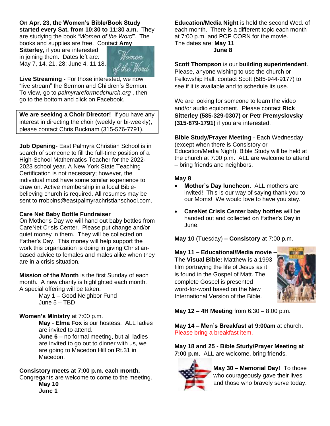## **On Apr. 23, the Women's Bible/Book Study**

**started every Sat. from 10:30 to 11:30 a.m.** They are studying the book *"Women of the Word"*. The books and supplies are free. Contact **Amy** 

**Sitterley,** if you are interested in joining them. Dates left are: May 7, 14, 21, 28; June 4, 11,18.



**Live Streaming -** For those interested, we now "live stream" the Sermon and Children's Sermon. To view, go to *palmyrareformedchurch.org* , then go to the bottom and click on Facebook.

**We are seeking a Choir Director!** If you have any interest in directing the choir (weekly or bi-weekly), please contact Chris Bucknam (315-576-7791).

**Job Opening**- East Palmyra Christian School is in search of someone to fill the full-time position of a High-School Mathematics Teacher for the 2022- 2023 school year. A New York State Teaching Certification is not necessary; however, the individual must have some similar experience to draw on. Active membership in a local Biblebelieving church is required. All resumes may be sent to rrobbins@eastpalmyrachristianschool.com.

### **Care Net Baby Bottle Fundraiser**

On Mother's Day we will hand out baby bottles from CareNet Crisis Center. Please put change and/or quiet money in them. They will be collected on Father's Day. This money will help support the work this organization is doing in giving Christianbased advice to females and males alike when they are in a crisis situation.

**Mission of the Month** is the first Sunday of each month. A new charity is highlighted each month. A special offering will be taken.

> May 1 – Good Neighbor Fund June 5 – TBD

### **Women's Ministry** at 7:00 p.m.

**May** - **Elma Fox** is our hostess. ALL ladies are invited to attend.

**June 6** – no formal meeting, but all ladies are invited to go out to dinner with us, we are going to Macedon Hill on Rt.31 in Macedon.

### **Consistory meets at 7:00 p.m. each month.**

Congregants are welcome to come to the meeting. **May 10** 

**June 1**

**Education/Media Night** is held the second Wed. of each month. There is a different topic each month at 7:00 p.m. and POP CORN for the movie. The dates are: **May 11 June 8**

**Scott Thompson** is our **building superintendent**. Please, anyone wishing to use the church or Fellowship Hall, contact Scott (585-944-9177) to see if it is available and to schedule its use.

We are looking for someone to learn the video and/or audio equipment. Please contact **Rick Sitterley (585-329-0307) or Petr Premyslovsky (315-879-1791)** if you are interested.

**Bible Study/Prayer Meeting** - Each Wednesday (except when there is Consistory or Education/Media Night), Bible Study will be held at the church at 7:00 p.m. ALL are welcome to attend – bring friends and neighbors.

#### **May 8**

- **Mother's Day luncheon**. ALL mothers are invited! This is our way of saying thank you to our Moms! We would love to have you stay.
- **CareNet Crisis Center baby bottles** will be handed out and collected on Father's Day in June.

**May 10** (Tuesday) **– Consistory** at 7:00 p.m.

**May 11 – Educational/Media movie – The Visual Bible:** Matthew is a 1993 film portraying the life of Jesus as it is found in the Gospel of Matt. The complete Gospel is presented word-for-word based on the New International Version of the Bible.



**May 12 – 4H Meeting** from 6:30 – 8:00 p.m.

**May 14 – Men's Breakfast at 9:00am** at church. Please bring a breakfast item.

**May 18 and 25 - Bible Study/Prayer Meeting at 7:00 p.m**. ALL are welcome, bring friends.



**May 30 – Memorial Day!** To those who courageously gave their lives and those who bravely serve today.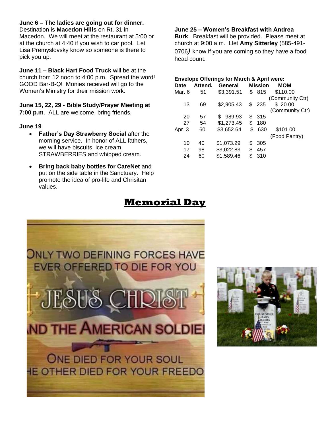### **June 6 – The ladies are going out for dinner.**

Destination is **Macedon Hills** on Rt. 31 in Macedon. We will meet at the restaurant at 5:00 or at the church at 4:40 if you wish to car pool. Let Lisa Premyslovsky know so someone is there to pick you up.

**June 11 – Black Hart Food Truck** will be at the church from 12 noon to 4:00 p.m. Spread the word! GOOD Bar-B-Q! Monies received will go to the Women's Ministry for their mission work.

**June 15, 22, 29 - Bible Study/Prayer Meeting at 7:00 p.m**. ALL are welcome, bring friends.

#### **June 19**

- **Father's Day Strawberry Social** after the morning service. In honor of ALL fathers, we will have biscuits, ice cream, STRAWBERRIES and whipped cream.
- **Bring back baby bottles for CareNet** and put on the side table in the Sanctuary. Help promote the idea of pro-life and Chrisitan values.

### **June 25 – Women's Breakfast with Andrea**

**Burk**. Breakfast will be provided. Please meet at church at 9:00 a.m. Llet **Amy Sitterley** (585-491- 0706*)* know if you are coming so they have a food head count.

#### **Envelope Offerings for March & April were: Date Attend. General Mission MOM** Mar. 6 51 \$3,391.51 \$ 815 \$110.00 (Community Ctr) 13 69 \$2,905.43 \$ 235 \$ 20.00 (Community Ctr) 20 57 \$ 989.93 \$ 315 27 54 \$1,273.45 \$ 180 Apr. 3 60 \$3,652.64 \$ 630 \$101.00 (Food Pantry) 10 40 \$1,073.29 \$ 305 17 98 \$3,022.83 \$ 457 24 60 \$1,589.46 \$ 310

## **Memorial Day**



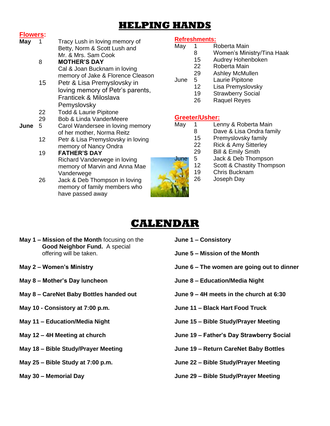## **HELPING HANDS**

### **Flowers:**

#### **May** 1 Tracy Lush in loving memory of Betty, Norm & Scott Lush and Mr. & Mrs. Sam Cook

- 8 **MOTHER'S DAY** Cal & Joan Bucknam in loving memory of Jake & Florence Cleason
- 15 Petr & Lisa Premyslovsky in loving memory of Petr's parents, Franticek & Miloslava **Pemyslovsky**
- 22 Todd & Laurie Pipitone
- 29 Bob & Linda VanderMeere
- **June** 5 Carol Wandersee in loving memory of her mother, Norma Reitz
	- 12 Petr & Lisa Premyslovsky in loving memory of Nancy Ondra
	- 19 **FATHER'S DAY** Richard Vanderwege in loving memory of Marvin and Anna Mae Vanderwege
	- 26 Jack & Deb Thompson in loving memory of family members who have passed away

## **Refreshments:**

- May 1 Roberta Main
	- 8 Women's Ministry/Tina Haak
	- 15 Audrey Hohenboken
	- 22 Roberta Main
	- 29 Ashley McMullen
- June 5 Laurie Pipitone
	- 12 Lisa Premyslovsky
		- 19 Strawberry Social
		- 26 Raquel Reyes

## **Greeter/Usher:**

- May 1 Lenny & Roberta Main
	- 8 Dave & Lisa Ondra family
		- 15 Premyslovsky family
			- 22 Rick & Amy Sitterley<br>29 Bill & Emily Smith
				- Bill & Emily Smith
- June 5 Jack & Deb Thompson
	- 12 Scott & Chastity Thompson
	- 19 Chris Bucknam
	- 26 Joseph Day

# **CALENDAR**

- **May 1 – Mission of the Month** focusing on the  **Good Neighbor Fund.** A special offering will be taken.
- **May 2 – Women's Ministry**
- **May 8 – Mother's Day luncheon**
- **May 8 – CareNet Baby Bottles handed out**
- **May 10 - Consistory at 7:00 p.m.**
- **May 11 – Education/Media Night**
- **May 12 – 4H Meeting at church**
- **May 18 – Bible Study/Prayer Meeting**
- **May 25 – Bible Study at 7:00 p.m.**
- **May 30 – Memorial Day**
- **June 1 – Consistory**
- **June 5 – Mission of the Month**
- **June 6 – The women are going out to dinner**
- **June 8 – Education/Media Night**
- **June 9 – 4H meets in the church at 6:30**
- **June 11 – Black Hart Food Truck**
- **June 15 – Bible Study/Prayer Meeting**
- **June 19 – Father's Day Strawberry Social**
- **June 19 – Return CareNet Baby Bottles**
- **June 22 – Bible Study/Prayer Meeting**

### **June 29 – Bible Study/Prayer Meeting**

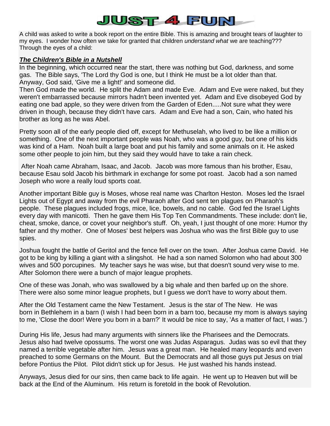## JUST 4 FUN

A child was asked to write a book report on the entire Bible. This is amazing and brought tears of laughter to my eyes. I wonder how often we take for granted that children *understand what* we are teaching??? Through the eyes of a child:

### *The Children's Bible in a Nutshell*

In the beginning, which occurred near the start, there was nothing but God, darkness, and some gas. The Bible says, 'The Lord thy God is one, but I think He must be a lot older than that. Anyway, God said, 'Give me a light!' and someone did.

Then God made the world. He split the Adam and made Eve. Adam and Eve were naked, but they weren't embarrassed because mirrors hadn't been invented yet. Adam and Eve disobeyed God by eating one bad apple, so they were driven from the Garden of Eden.....Not sure what they were driven in though, because they didn't have cars. Adam and Eve had a son, Cain, who hated his brother as long as he was Abel.

Pretty soon all of the early people died off, except for Methuselah, who lived to be like a million or something. One of the next important people was Noah, who was a good guy, but one of his kids was kind of a Ham. Noah built a large boat and put his family and some animals on it. He asked some other people to join him, but they said they would have to take a rain check.

After Noah came Abraham, Isaac, and Jacob. Jacob was more famous than his brother, Esau, because Esau sold Jacob his birthmark in exchange for some pot roast. Jacob had a son named Joseph who wore a really loud sports coat.

Another important Bible guy is Moses, whose real name was Charlton Heston. Moses led the Israel Lights out of Egypt and away from the evil Pharaoh after God sent ten plagues on Pharaoh's people. These plagues included frogs, mice, lice, bowels, and no cable. God fed the Israel Lights every day with manicotti. Then he gave them His Top Ten Commandments. These include: don't lie, cheat, smoke, dance, or covet your neighbor's stuff. Oh, yeah, I just thought of one more: Humor thy father and thy mother. One of Moses' best helpers was Joshua who was the first Bible guy to use spies.

Joshua fought the battle of Geritol and the fence fell over on the town. After Joshua came David. He got to be king by killing a giant with a slingshot. He had a son named Solomon who had about 300 wives and 500 porcupines. My teacher says he was wise, but that doesn't sound very wise to me. After Solomon there were a bunch of major league prophets.

One of these was Jonah, who was swallowed by a big whale and then barfed up on the shore. There were also some minor league prophets, but I guess we don't have to worry about them.

After the Old Testament came the New Testament. Jesus is the star of The New. He was born in Bethlehem in a barn (I wish I had been born in a barn too, because my mom is always saying to me, 'Close the door! Were you born in a barn?' It would be nice to say, 'As a matter of fact, I was.')

During His life, Jesus had many arguments with sinners like the Pharisees and the Democrats. Jesus also had twelve opossums. The worst one was Judas Asparagus. Judas was so evil that they named a terrible vegetable after him. Jesus was a great man. He healed many leopards and even preached to some Germans on the Mount. But the Democrats and all those guys put Jesus on trial before Pontius the Pilot. Pilot didn't stick up for Jesus. He just washed his hands instead.

Anyways, Jesus died for our sins, then came back to life again. He went up to Heaven but will be back at the End of the Aluminum. His return is foretold in the book of Revolution.